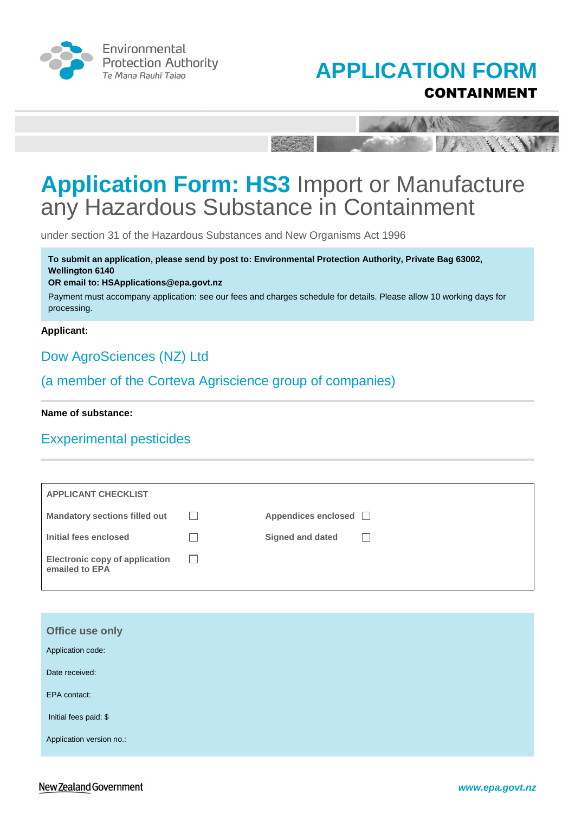





under section 31 of the Hazardous Substances and New Organisms Act 1996

**To submit an application, please send by post to: Environmental Protection Authority, Private Bag 63002, Wellington 6140** 

#### **OR email to: HSApplications@epa.govt.nz**

Payment must accompany application: see our fees and charges schedule for details. Please allow 10 working days for processing.

#### **Applicant:**

### Dow AgroSciences (NZ) Ltd

### (a member of the Corteva Agriscience group of companies)

**Name of substance:**

### Exxperimental pesticides

| <b>APPLICANT CHECKLIST</b>                              |               |                            |              |
|---------------------------------------------------------|---------------|----------------------------|--------------|
| <b>Mandatory sections filled out</b>                    | $\Box$        | Appendices enclosed $\Box$ |              |
| Initial fees enclosed                                   |               | Signed and dated           | $\mathbf{I}$ |
| <b>Electronic copy of application</b><br>emailed to EPA | $\mathcal{L}$ |                            |              |

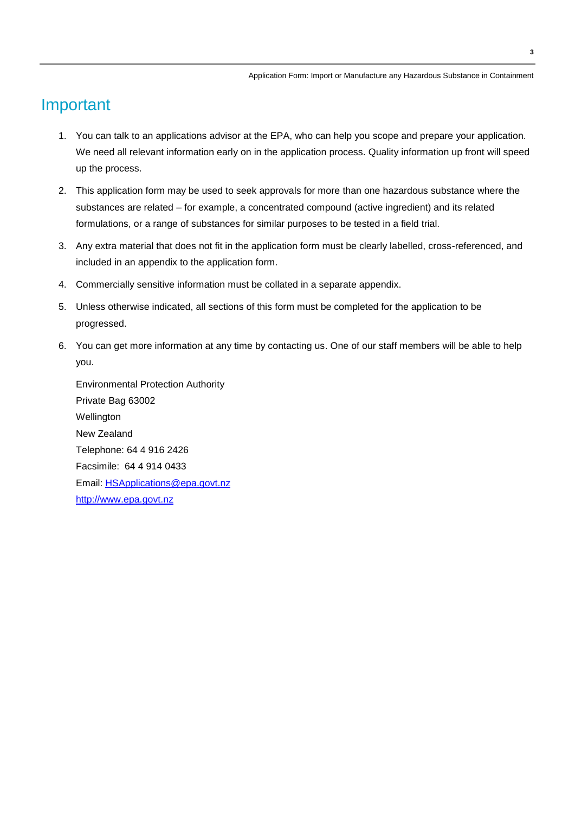## Important

- 1. You can talk to an applications advisor at the EPA, who can help you scope and prepare your application. We need all relevant information early on in the application process. Quality information up front will speed up the process.
- 2. This application form may be used to seek approvals for more than one hazardous substance where the substances are related – for example, a concentrated compound (active ingredient) and its related formulations, or a range of substances for similar purposes to be tested in a field trial.
- 3. Any extra material that does not fit in the application form must be clearly labelled, cross-referenced, and included in an appendix to the application form.
- 4. Commercially sensitive information must be collated in a separate appendix.
- 5. Unless otherwise indicated, all sections of this form must be completed for the application to be progressed.
- 6. You can get more information at any time by contacting us. One of our staff members will be able to help you.

Environmental Protection Authority Private Bag 63002 Wellington New Zealand Telephone: 64 4 916 2426 Facsimile: 64 4 914 0433 Email: [HSApplications@epa.govt.nz](mailto:HSApplications@epa.govt.nz) [http://www.epa.govt.nz](http://www.epa.govt.nz/)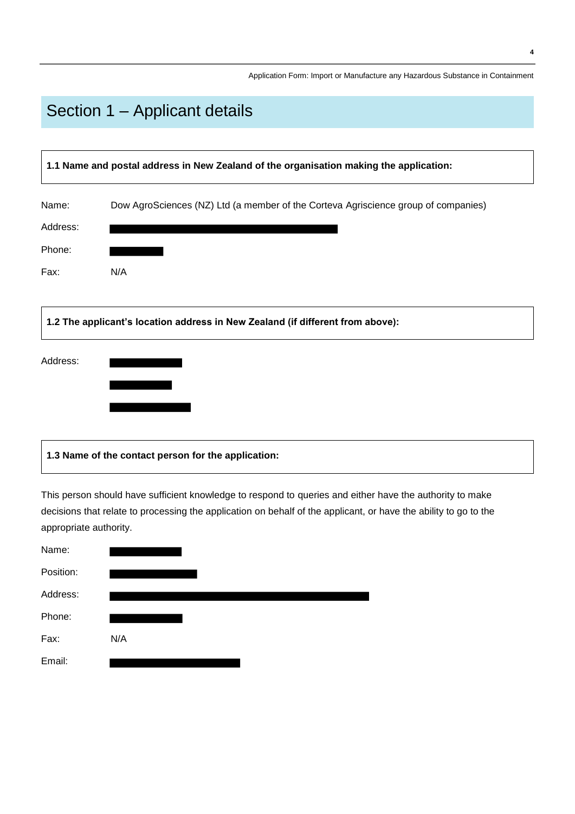# Section 1 – Applicant details

| 1.1 Name and postal address in New Zealand of the organisation making the application: |                                                                                    |  |
|----------------------------------------------------------------------------------------|------------------------------------------------------------------------------------|--|
| Name:                                                                                  | Dow AgroSciences (NZ) Ltd (a member of the Corteva Agriscience group of companies) |  |
| Address:                                                                               |                                                                                    |  |
| Phone:                                                                                 |                                                                                    |  |
| Fax:                                                                                   | N/A                                                                                |  |
| Address:                                                                               | 1.2 The applicant's location address in New Zealand (if different from above):     |  |
|                                                                                        |                                                                                    |  |

### **1.3 Name of the contact person for the application:**

This person should have sufficient knowledge to respond to queries and either have the authority to make decisions that relate to processing the application on behalf of the applicant, or have the ability to go to the appropriate authority.

| Name:     |     |
|-----------|-----|
| Position: |     |
| Address:  |     |
| Phone:    |     |
| Fax:      | N/A |
| Email:    |     |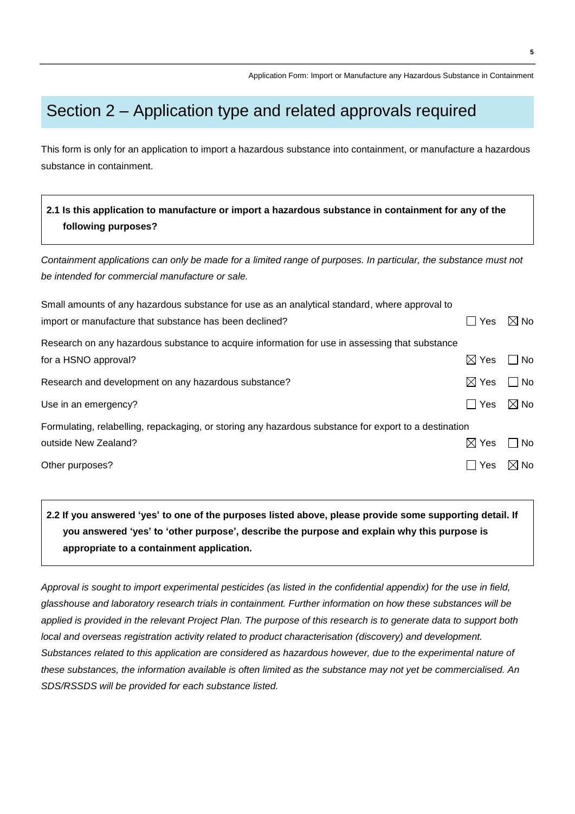## Section 2 – Application type and related approvals required

This form is only for an application to import a hazardous substance into containment, or manufacture a hazardous substance in containment.

### **2.1 Is this application to manufacture or import a hazardous substance in containment for any of the following purposes?**

*Containment applications can only be made for a limited range of purposes. In particular, the substance must not be intended for commercial manufacture or sale.*

| Small amounts of any hazardous substance for use as an analytical standard, where approval to         |                 |                |
|-------------------------------------------------------------------------------------------------------|-----------------|----------------|
| import or manufacture that substance has been declined?                                               | <b>Yes</b>      | $\boxtimes$ No |
| Research on any hazardous substance to acquire information for use in assessing that substance        |                 |                |
| for a HSNO approval?                                                                                  | $\boxtimes$ Yes | No             |
| Research and development on any hazardous substance?                                                  | $\boxtimes$ Yes | $\Box$ No      |
| Use in an emergency?                                                                                  | ∣ I Yes         | $\boxtimes$ No |
| Formulating, relabelling, repackaging, or storing any hazardous substance for export to a destination |                 |                |
| outside New Zealand?                                                                                  | $\boxtimes$ Yes | No             |
| Other purposes?                                                                                       | Yes             | $\boxtimes$ No |

**2.2 If you answered 'yes' to one of the purposes listed above, please provide some supporting detail. If you answered 'yes' to 'other purpose', describe the purpose and explain why this purpose is appropriate to a containment application.**

*Approval is sought to import experimental pesticides (as listed in the confidential appendix) for the use in field, glasshouse and laboratory research trials in containment. Further information on how these substances will be applied is provided in the relevant Project Plan. The purpose of this research is to generate data to support both local and overseas registration activity related to product characterisation (discovery) and development. Substances related to this application are considered as hazardous however, due to the experimental nature of these substances, the information available is often limited as the substance may not yet be commercialised. An SDS/RSSDS will be provided for each substance listed.*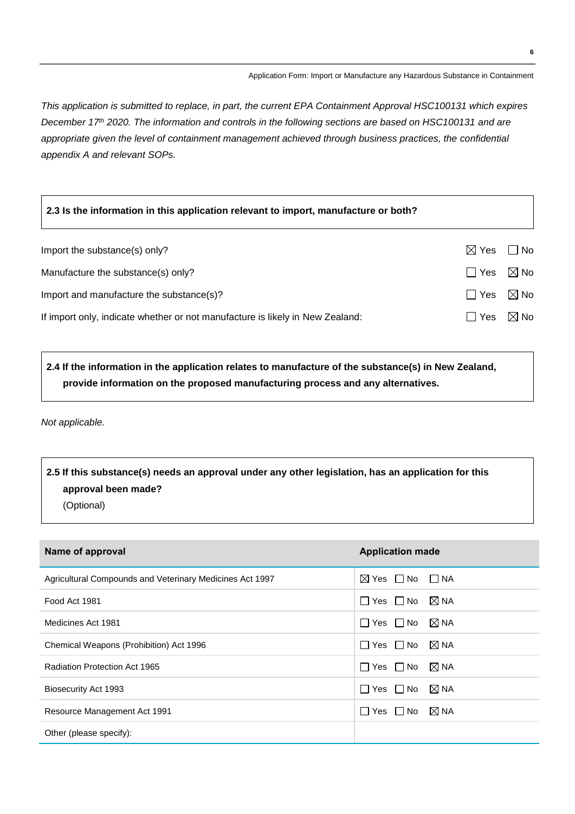*This application is submitted to replace, in part, the current EPA Containment Approval HSC100131 which expires December 17th 2020. The information and controls in the following sections are based on HSC100131 and are appropriate given the level of containment management achieved through business practices, the confidential appendix A and relevant SOPs.*

| 2.3 Is the information in this application relevant to import, manufacture or both? |                           |                |
|-------------------------------------------------------------------------------------|---------------------------|----------------|
| Import the substance(s) only?                                                       | $\boxtimes$ Yes $\Box$ No |                |
| Manufacture the substance(s) only?                                                  | ∏ Yes                     | $\boxtimes$ No |
| Import and manufacture the substance(s)?                                            | $\Box$ Yes                | $\boxtimes$ No |
| If import only, indicate whether or not manufacture is likely in New Zealand:       | Yes                       | $\boxtimes$ No |

**2.4 If the information in the application relates to manufacture of the substance(s) in New Zealand, provide information on the proposed manufacturing process and any alternatives.**

*Not applicable.*

### **2.5 If this substance(s) needs an approval under any other legislation, has an application for this approval been made?** (Optional)

| Name of approval                                         | <b>Application made</b>                |
|----------------------------------------------------------|----------------------------------------|
| Agricultural Compounds and Veterinary Medicines Act 1997 | $\boxtimes$ Yes $\Box$ No $\Box$ NA    |
| Food Act 1981                                            | $\Box$ Yes $\Box$ No $\boxtimes$ NA    |
| Medicines Act 1981                                       | $\boxtimes$ NA<br>$\Box$ Yes $\Box$ No |
| Chemical Weapons (Prohibition) Act 1996                  | $\boxtimes$ NA<br>$\Box$ Yes $\Box$ No |
| Radiation Protection Act 1965                            | $\boxtimes$ NA<br>  Yes   No           |
| Biosecurity Act 1993                                     | $\boxtimes$ NA<br>$\Box$ Yes $\Box$ No |
| Resource Management Act 1991                             | $\boxtimes$ NA<br>$\Box$ Yes $\Box$ No |
| Other (please specify):                                  |                                        |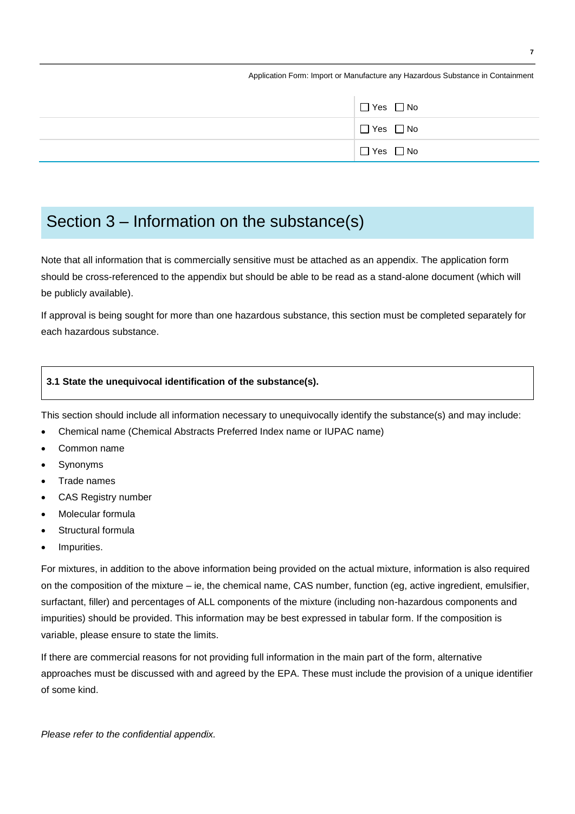| $\Box$ Yes $\Box$ No |
|----------------------|
| $\Box$ Yes $\Box$ No |
| $\Box$ Yes $\Box$ No |

## Section 3 – Information on the substance(s)

Note that all information that is commercially sensitive must be attached as an appendix. The application form should be cross-referenced to the appendix but should be able to be read as a stand-alone document (which will be publicly available).

If approval is being sought for more than one hazardous substance, this section must be completed separately for each hazardous substance.

#### **3.1 State the unequivocal identification of the substance(s).**

This section should include all information necessary to unequivocally identify the substance(s) and may include:

- Chemical name (Chemical Abstracts Preferred Index name or IUPAC name)
- Common name
- Synonyms
- Trade names
- CAS Registry number
- Molecular formula
- Structural formula
- Impurities.

For mixtures, in addition to the above information being provided on the actual mixture, information is also required on the composition of the mixture – ie, the chemical name, CAS number, function (eg, active ingredient, emulsifier, surfactant, filler) and percentages of ALL components of the mixture (including non-hazardous components and impurities) should be provided. This information may be best expressed in tabular form. If the composition is variable, please ensure to state the limits.

If there are commercial reasons for not providing full information in the main part of the form, alternative approaches must be discussed with and agreed by the EPA. These must include the provision of a unique identifier of some kind.

*Please refer to the confidential appendix.*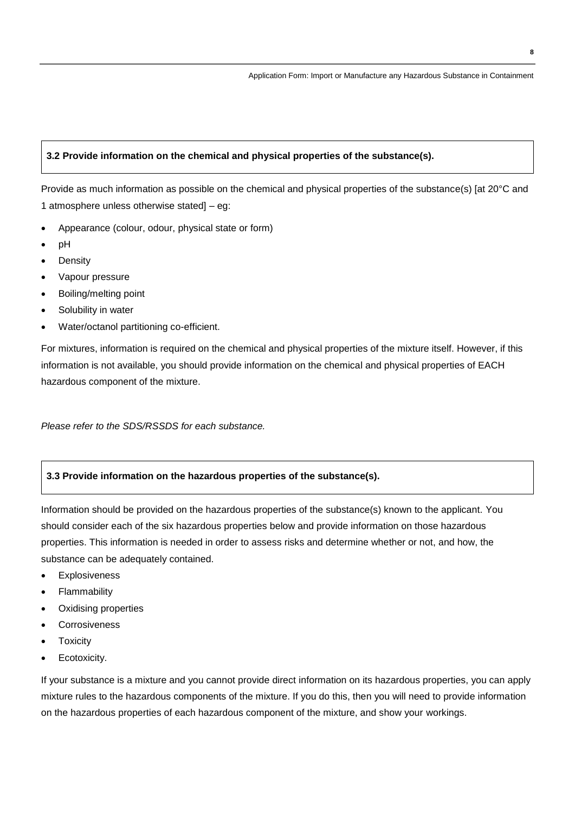#### **3.2 Provide information on the chemical and physical properties of the substance(s).**

Provide as much information as possible on the chemical and physical properties of the substance(s) [at 20°C and 1 atmosphere unless otherwise stated] – eg:

- Appearance (colour, odour, physical state or form)
- pH
- **Density**
- Vapour pressure
- Boiling/melting point
- Solubility in water
- Water/octanol partitioning co-efficient.

For mixtures, information is required on the chemical and physical properties of the mixture itself. However, if this information is not available, you should provide information on the chemical and physical properties of EACH hazardous component of the mixture.

*Please refer to the SDS/RSSDS for each substance.*

#### **3.3 Provide information on the hazardous properties of the substance(s).**

Information should be provided on the hazardous properties of the substance(s) known to the applicant. You should consider each of the six hazardous properties below and provide information on those hazardous properties. This information is needed in order to assess risks and determine whether or not, and how, the substance can be adequately contained.

- Explosiveness
- Flammability
- Oxidising properties
- Corrosiveness
- **Toxicity**
- Ecotoxicity.

If your substance is a mixture and you cannot provide direct information on its hazardous properties, you can apply mixture rules to the hazardous components of the mixture. If you do this, then you will need to provide information on the hazardous properties of each hazardous component of the mixture, and show your workings.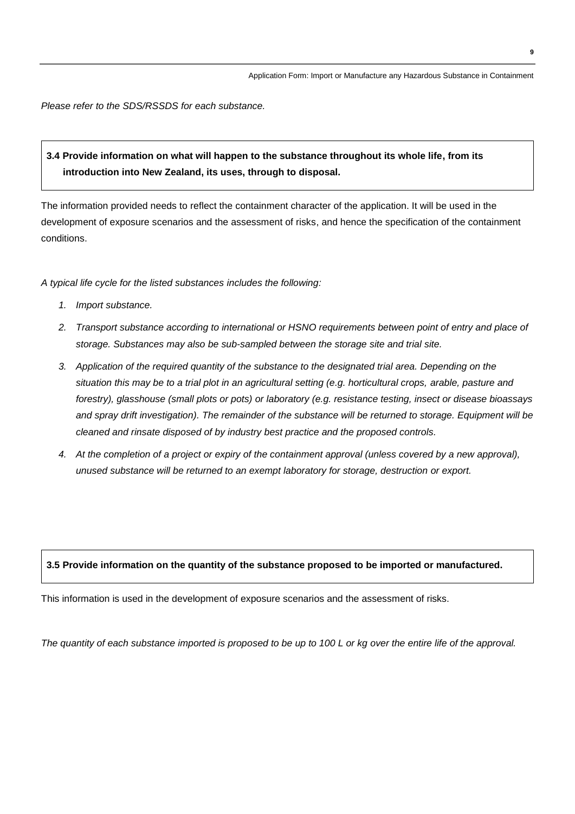*Please refer to the SDS/RSSDS for each substance.*

### **3.4 Provide information on what will happen to the substance throughout its whole life, from its introduction into New Zealand, its uses, through to disposal.**

The information provided needs to reflect the containment character of the application. It will be used in the development of exposure scenarios and the assessment of risks, and hence the specification of the containment conditions.

*A typical life cycle for the listed substances includes the following:*

- *1. Import substance.*
- *2. Transport substance according to international or HSNO requirements between point of entry and place of storage. Substances may also be sub-sampled between the storage site and trial site.*
- *3. Application of the required quantity of the substance to the designated trial area. Depending on the situation this may be to a trial plot in an agricultural setting (e.g. horticultural crops, arable, pasture and forestry), glasshouse (small plots or pots) or laboratory (e.g. resistance testing, insect or disease bioassays and spray drift investigation). The remainder of the substance will be returned to storage. Equipment will be cleaned and rinsate disposed of by industry best practice and the proposed controls.*
- *4. At the completion of a project or expiry of the containment approval (unless covered by a new approval), unused substance will be returned to an exempt laboratory for storage, destruction or export.*

#### **3.5 Provide information on the quantity of the substance proposed to be imported or manufactured.**

This information is used in the development of exposure scenarios and the assessment of risks.

*The quantity of each substance imported is proposed to be up to 100 L or kg over the entire life of the approval.*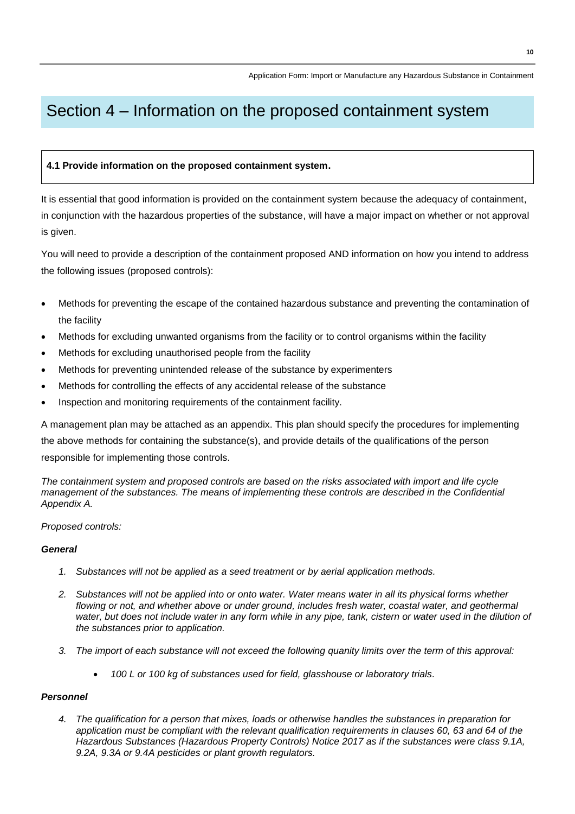# Section 4 – Information on the proposed containment system

#### **4.1 Provide information on the proposed containment system.**

It is essential that good information is provided on the containment system because the adequacy of containment, in conjunction with the hazardous properties of the substance, will have a major impact on whether or not approval is given.

You will need to provide a description of the containment proposed AND information on how you intend to address the following issues (proposed controls):

- Methods for preventing the escape of the contained hazardous substance and preventing the contamination of the facility
- Methods for excluding unwanted organisms from the facility or to control organisms within the facility
- Methods for excluding unauthorised people from the facility
- Methods for preventing unintended release of the substance by experimenters
- Methods for controlling the effects of any accidental release of the substance
- Inspection and monitoring requirements of the containment facility.

A management plan may be attached as an appendix. This plan should specify the procedures for implementing the above methods for containing the substance(s), and provide details of the qualifications of the person responsible for implementing those controls.

*The containment system and proposed controls are based on the risks associated with import and life cycle management of the substances. The means of implementing these controls are described in the Confidential Appendix A.*

#### *Proposed controls:*

#### *General*

- *1. Substances will not be applied as a seed treatment or by aerial application methods.*
- *2. Substances will not be applied into or onto water. Water means water in all its physical forms whether* flowing or not, and whether above or under ground, includes fresh water, coastal water, and geothermal *water, but does not include water in any form while in any pipe, tank, cistern or water used in the dilution of the substances prior to application.*
- *3. The import of each substance will not exceed the following quanity limits over the term of this approval:*
	- *100 L or 100 kg of substances used for field, glasshouse or laboratory trials.*

#### *Personnel*

*4. The qualification for a person that mixes, loads or otherwise handles the substances in preparation for application must be compliant with the relevant qualification requirements in clauses 60, 63 and 64 of the Hazardous Substances (Hazardous Property Controls) Notice 2017 as if the substances were class 9.1A, 9.2A, 9.3A or 9.4A pesticides or plant growth regulators.*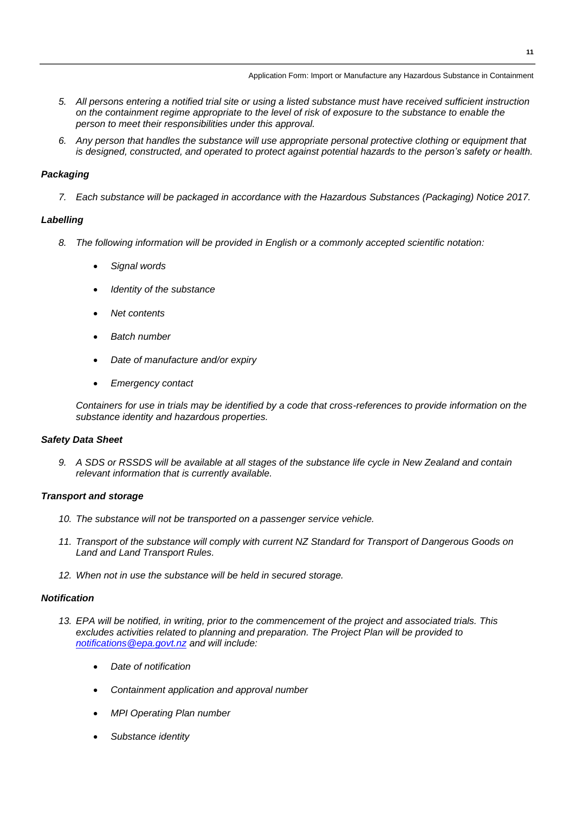- *5. All persons entering a notified trial site or using a listed substance must have received sufficient instruction on the containment regime appropriate to the level of risk of exposure to the substance to enable the person to meet their responsibilities under this approval.*
- *6. Any person that handles the substance will use appropriate personal protective clothing or equipment that is designed, constructed, and operated to protect against potential hazards to the person's safety or health.*

#### *Packaging*

*7. Each substance will be packaged in accordance with the Hazardous Substances (Packaging) Notice 2017.* 

#### *Labelling*

- *8. The following information will be provided in English or a commonly accepted scientific notation:*
	- *Signal words*
	- *Identity of the substance*
	- *Net contents*
	- *Batch number*
	- *Date of manufacture and/or expiry*
	- *Emergency contact*

*Containers for use in trials may be identified by a code that cross-references to provide information on the substance identity and hazardous properties.*

#### *Safety Data Sheet*

*9. A SDS or RSSDS will be available at all stages of the substance life cycle in New Zealand and contain relevant information that is currently available.*

#### *Transport and storage*

- *10. The substance will not be transported on a passenger service vehicle.*
- *11. Transport of the substance will comply with current NZ Standard for Transport of Dangerous Goods on Land and Land Transport Rules.*
- *12. When not in use the substance will be held in secured storage.*

#### *Notification*

- *13. EPA will be notified, in writing, prior to the commencement of the project and associated trials. This excludes activities related to planning and preparation. The Project Plan will be provided to [notifications@epa.govt.nz](mailto:notifications@epa.govt.nz) and will include:*
	- *Date of notification*
	- *Containment application and approval number*
	- *MPI Operating Plan number*
	- *Substance identity*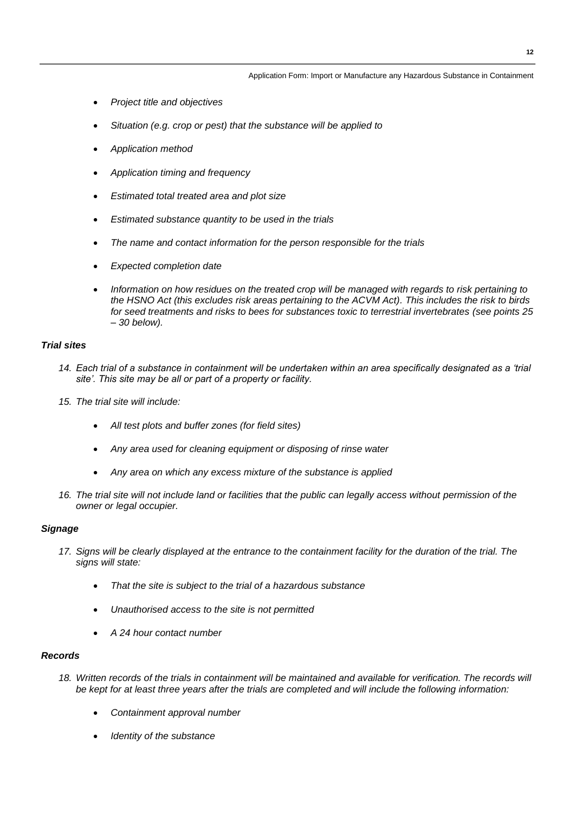- *Project title and objectives*
- *Situation (e.g. crop or pest) that the substance will be applied to*
- *Application method*
- *Application timing and frequency*
- *Estimated total treated area and plot size*
- *Estimated substance quantity to be used in the trials*
- *The name and contact information for the person responsible for the trials*
- *Expected completion date*
- *Information on how residues on the treated crop will be managed with regards to risk pertaining to the HSNO Act (this excludes risk areas pertaining to the ACVM Act). This includes the risk to birds for seed treatments and risks to bees for substances toxic to terrestrial invertebrates (see points 25 – 30 below).*

#### *Trial sites*

- 14. Each trial of a substance in containment will be undertaken within an area specifically designated as a 'trial *site'. This site may be all or part of a property or facility.*
- *15. The trial site will include:*
	- *All test plots and buffer zones (for field sites)*
	- *Any area used for cleaning equipment or disposing of rinse water*
	- *Any area on which any excess mixture of the substance is applied*
- *16. The trial site will not include land or facilities that the public can legally access without permission of the owner or legal occupier.*

#### *Signage*

- *17. Signs will be clearly displayed at the entrance to the containment facility for the duration of the trial. The signs will state:*
	- *That the site is subject to the trial of a hazardous substance*
	- *Unauthorised access to the site is not permitted*
	- *A 24 hour contact number*

#### *Records*

- 18. Written records of the trials in containment will be maintained and available for verification. The records will *be kept for at least three years after the trials are completed and will include the following information:*
	- *Containment approval number*
	- *Identity of the substance*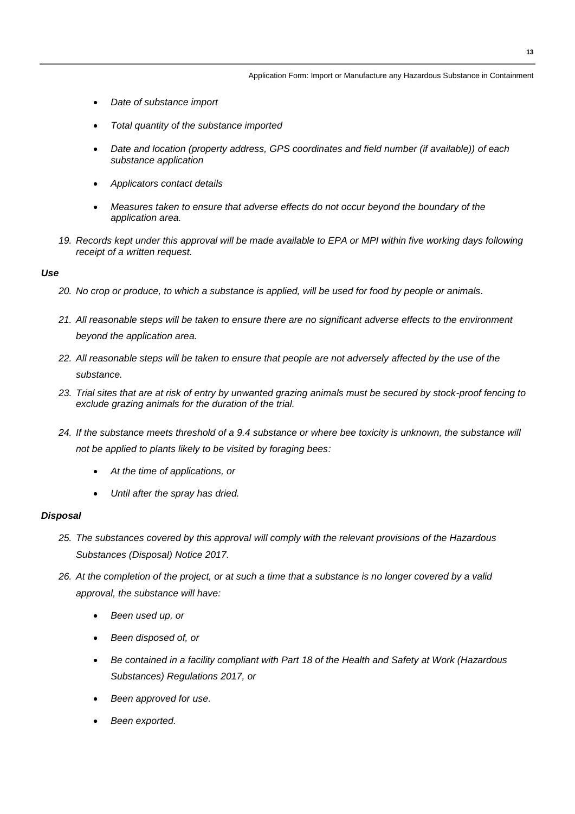- *Date of substance import*
- *Total quantity of the substance imported*
- *Date and location (property address, GPS coordinates and field number (if available)) of each substance application*
- *Applicators contact details*
- *Measures taken to ensure that adverse effects do not occur beyond the boundary of the application area.*
- *19. Records kept under this approval will be made available to EPA or MPI within five working days following receipt of a written request.*

#### *Use*

- *20. No crop or produce, to which a substance is applied, will be used for food by people or animals.*
- *21. All reasonable steps will be taken to ensure there are no significant adverse effects to the environment beyond the application area.*
- *22. All reasonable steps will be taken to ensure that people are not adversely affected by the use of the substance.*
- *23. Trial sites that are at risk of entry by unwanted grazing animals must be secured by stock-proof fencing to exclude grazing animals for the duration of the trial.*
- 24. If the substance meets threshold of a 9.4 substance or where bee toxicity is unknown, the substance will *not be applied to plants likely to be visited by foraging bees:*
	- *At the time of applications, or*
	- *Until after the spray has dried.*

#### *Disposal*

- *25. The substances covered by this approval will comply with the relevant provisions of the Hazardous Substances (Disposal) Notice 2017.*
- *26. At the completion of the project, or at such a time that a substance is no longer covered by a valid approval, the substance will have:*
	- *Been used up, or*
	- *Been disposed of, or*
	- *Be contained in a facility compliant with Part 18 of the Health and Safety at Work (Hazardous Substances) Regulations 2017, or*
	- *Been approved for use.*
	- *Been exported.*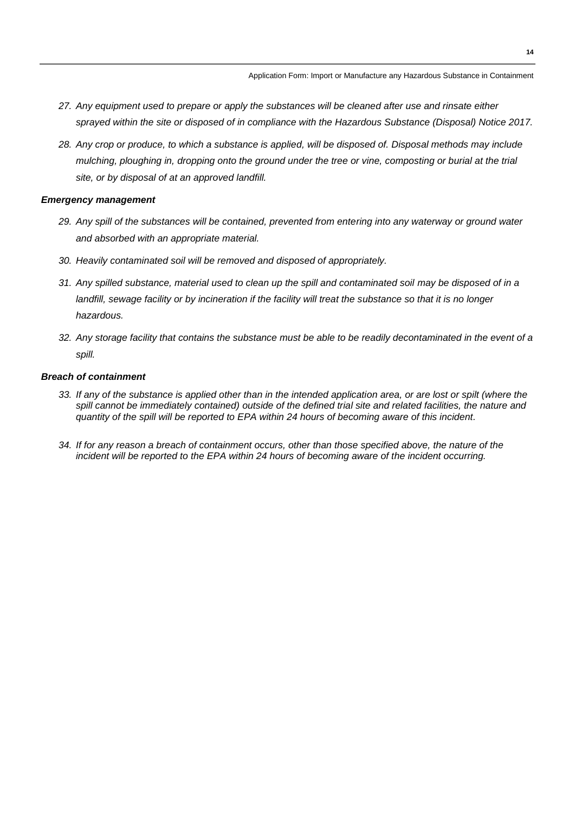- *27. Any equipment used to prepare or apply the substances will be cleaned after use and rinsate either sprayed within the site or disposed of in compliance with the Hazardous Substance (Disposal) Notice 2017.*
- *28. Any crop or produce, to which a substance is applied, will be disposed of. Disposal methods may include mulching, ploughing in, dropping onto the ground under the tree or vine, composting or burial at the trial site, or by disposal of at an approved landfill.*

#### *Emergency management*

- *29. Any spill of the substances will be contained, prevented from entering into any waterway or ground water and absorbed with an appropriate material.*
- *30. Heavily contaminated soil will be removed and disposed of appropriately.*
- *31. Any spilled substance, material used to clean up the spill and contaminated soil may be disposed of in a landfill, sewage facility or by incineration if the facility will treat the substance so that it is no longer hazardous.*
- *32. Any storage facility that contains the substance must be able to be readily decontaminated in the event of a spill.*

#### *Breach of containment*

- *33. If any of the substance is applied other than in the intended application area, or are lost or spilt (where the*  spill cannot be immediately contained) outside of the defined trial site and related facilities, the nature and *quantity of the spill will be reported to EPA within 24 hours of becoming aware of this incident.*
- *34. If for any reason a breach of containment occurs, other than those specified above, the nature of the incident will be reported to the EPA within 24 hours of becoming aware of the incident occurring.*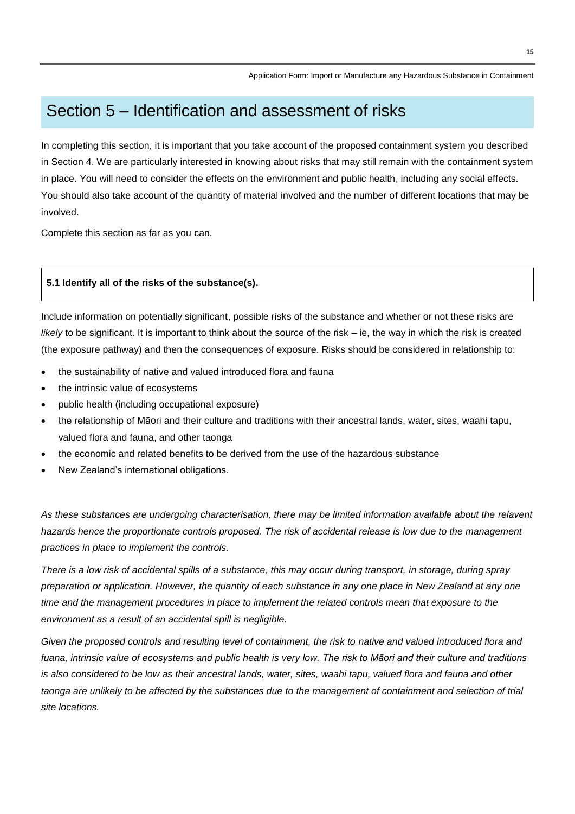### Section 5 – Identification and assessment of risks

In completing this section, it is important that you take account of the proposed containment system you described in Section 4. We are particularly interested in knowing about risks that may still remain with the containment system in place. You will need to consider the effects on the environment and public health, including any social effects. You should also take account of the quantity of material involved and the number of different locations that may be involved.

Complete this section as far as you can.

#### **5.1 Identify all of the risks of the substance(s).**

Include information on potentially significant, possible risks of the substance and whether or not these risks are *likely* to be significant. It is important to think about the source of the risk – ie, the way in which the risk is created (the exposure pathway) and then the consequences of exposure. Risks should be considered in relationship to:

- the sustainability of native and valued introduced flora and fauna
- the intrinsic value of ecosystems
- public health (including occupational exposure)
- the relationship of Māori and their culture and traditions with their ancestral lands, water, sites, waahi tapu, valued flora and fauna, and other taonga
- the economic and related benefits to be derived from the use of the hazardous substance
- New Zealand's international obligations.

*As these substances are undergoing characterisation, there may be limited information available about the relavent hazards hence the proportionate controls proposed. The risk of accidental release is low due to the management practices in place to implement the controls.*

*There is a low risk of accidental spills of a substance, this may occur during transport, in storage, during spray preparation or application. However, the quantity of each substance in any one place in New Zealand at any one time and the management procedures in place to implement the related controls mean that exposure to the environment as a result of an accidental spill is negligible.* 

Given the proposed controls and resulting level of containment, the risk to native and valued introduced flora and *fuana, intrinsic value of ecosystems and public health is very low. The risk to Māori and their culture and traditions is also considered to be low as their ancestral lands, water, sites, waahi tapu, valued flora and fauna and other taonga are unlikely to be affected by the substances due to the management of containment and selection of trial site locations.*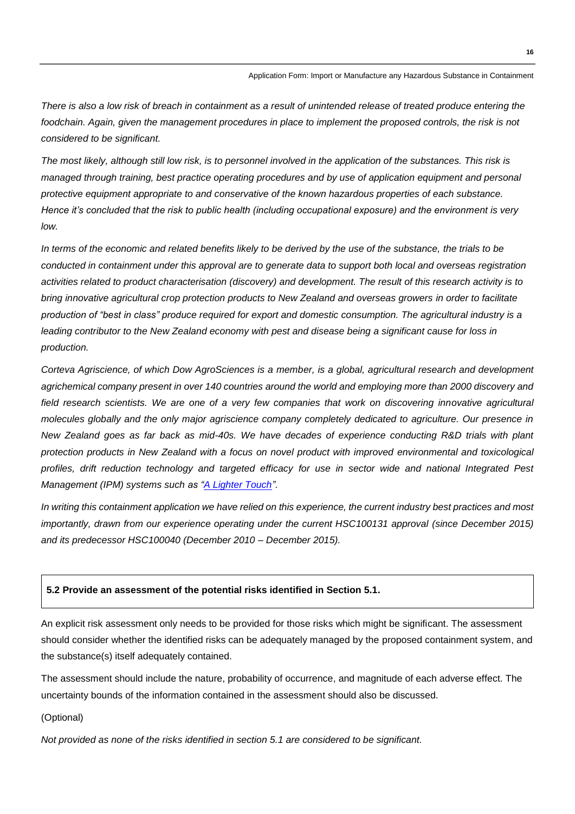*There is also a low risk of breach in containment as a result of unintended release of treated produce entering the*  foodchain. Again, given the management procedures in place to implement the proposed controls, the risk is not *considered to be significant.* 

*The most likely, although still low risk, is to personnel involved in the application of the substances. This risk is managed through training, best practice operating procedures and by use of application equipment and personal protective equipment appropriate to and conservative of the known hazardous properties of each substance. Hence it's concluded that the risk to public health (including occupational exposure) and the environment is very low.*

*In terms of the economic and related benefits likely to be derived by the use of the substance, the trials to be conducted in containment under this approval are to generate data to support both local and overseas registration activities related to product characterisation (discovery) and development. The result of this research activity is to bring innovative agricultural crop protection products to New Zealand and overseas growers in order to facilitate production of "best in class" produce required for export and domestic consumption. The agricultural industry is a leading contributor to the New Zealand economy with pest and disease being a significant cause for loss in production.* 

*Corteva Agriscience, of which Dow AgroSciences is a member, is a global, agricultural research and development agrichemical company present in over 140 countries around the world and employing more than 2000 discovery and*  field research scientists. We are one of a very few companies that work on discovering innovative agricultural *molecules globally and the only major agriscience company completely dedicated to agriculture. Our presence in New Zealand goes as far back as mid-40s. We have decades of experience conducting R&D trials with plant protection products in New Zealand with a focus on novel product with improved environmental and toxicological profiles, drift reduction technology and targeted efficacy for use in sector wide and national Integrated Pest Management (IPM) systems such as ["A Lighter Touch"](https://www.beehive.govt.nz/release/govt-backing-horticulture-succeed).*

*In writing this containment application we have relied on this experience, the current industry best practices and most importantly, drawn from our experience operating under the current HSC100131 approval (since December 2015) and its predecessor HSC100040 (December 2010 – December 2015).* 

#### **5.2 Provide an assessment of the potential risks identified in Section 5.1.**

An explicit risk assessment only needs to be provided for those risks which might be significant. The assessment should consider whether the identified risks can be adequately managed by the proposed containment system, and the substance(s) itself adequately contained.

The assessment should include the nature, probability of occurrence, and magnitude of each adverse effect. The uncertainty bounds of the information contained in the assessment should also be discussed.

(Optional)

*Not provided as none of the risks identified in section 5.1 are considered to be significant.*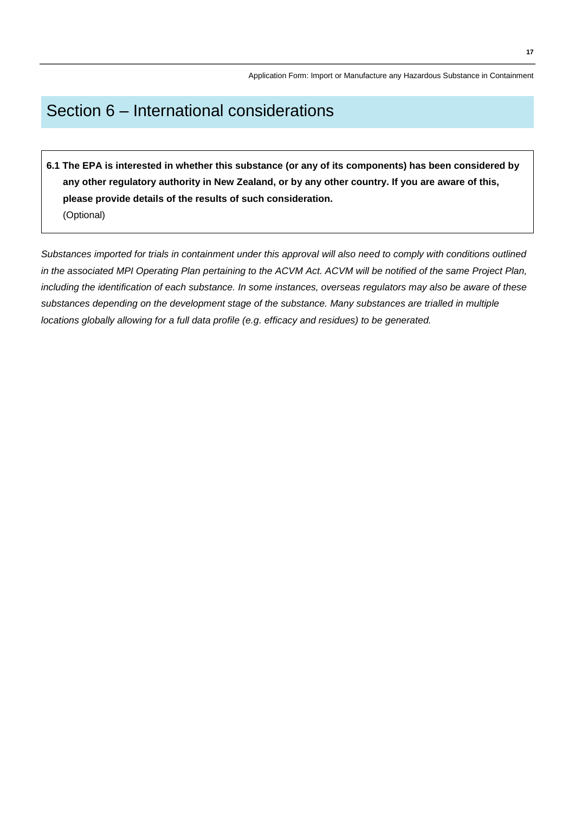# Section 6 – International considerations

**6.1 The EPA is interested in whether this substance (or any of its components) has been considered by any other regulatory authority in New Zealand, or by any other country. If you are aware of this, please provide details of the results of such consideration.**  (Optional)

*Substances imported for trials in containment under this approval will also need to comply with conditions outlined in the associated MPI Operating Plan pertaining to the ACVM Act. ACVM will be notified of the same Project Plan, including the identification of each substance. In some instances, overseas regulators may also be aware of these substances depending on the development stage of the substance. Many substances are trialled in multiple locations globally allowing for a full data profile (e.g. efficacy and residues) to be generated.*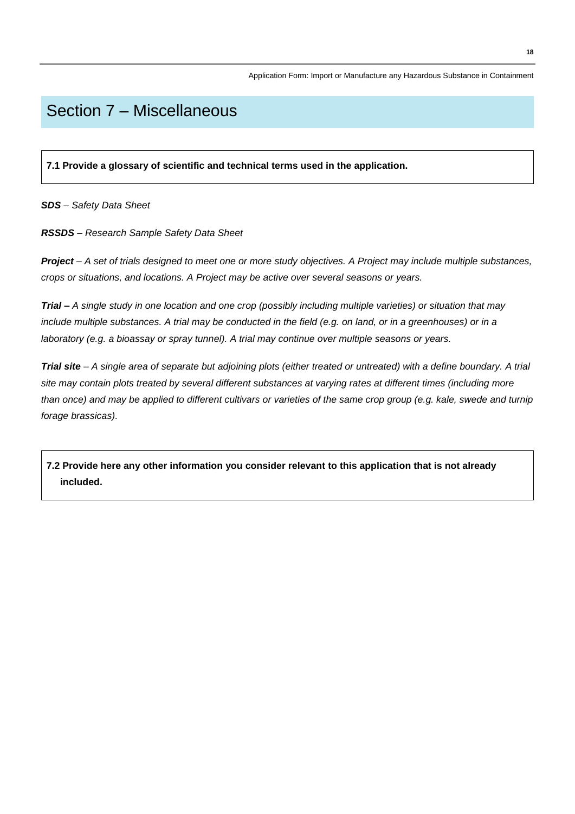# Section 7 – Miscellaneous

**7.1 Provide a glossary of scientific and technical terms used in the application.** 

*SDS – Safety Data Sheet*

*RSSDS – Research Sample Safety Data Sheet*

*Project – A set of trials designed to meet one or more study objectives. A Project may include multiple substances, crops or situations, and locations. A Project may be active over several seasons or years.*

*Trial – A single study in one location and one crop (possibly including multiple varieties) or situation that may include multiple substances. A trial may be conducted in the field (e.g. on land, or in a greenhouses) or in a laboratory (e.g. a bioassay or spray tunnel). A trial may continue over multiple seasons or years.* 

*Trial site – A single area of separate but adjoining plots (either treated or untreated) with a define boundary. A trial site may contain plots treated by several different substances at varying rates at different times (including more than once) and may be applied to different cultivars or varieties of the same crop group (e.g. kale, swede and turnip forage brassicas).* 

**7.2 Provide here any other information you consider relevant to this application that is not already included.**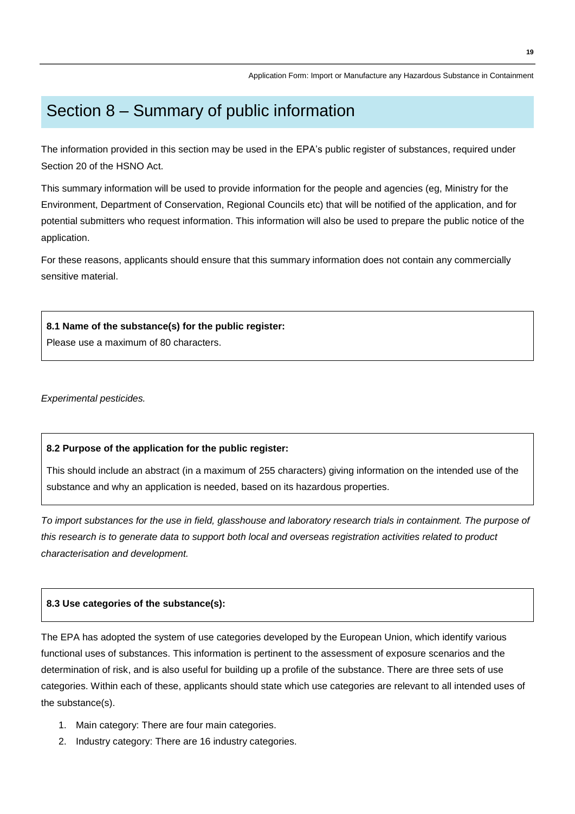# Section 8 – Summary of public information

The information provided in this section may be used in the EPA's public register of substances, required under Section 20 of the HSNO Act.

This summary information will be used to provide information for the people and agencies (eg, Ministry for the Environment, Department of Conservation, Regional Councils etc) that will be notified of the application, and for potential submitters who request information. This information will also be used to prepare the public notice of the application.

For these reasons, applicants should ensure that this summary information does not contain any commercially sensitive material.

**8.1 Name of the substance(s) for the public register:**

Please use a maximum of 80 characters.

*Experimental pesticides.*

#### **8.2 Purpose of the application for the public register:**

This should include an abstract (in a maximum of 255 characters) giving information on the intended use of the substance and why an application is needed, based on its hazardous properties.

*To import substances for the use in field, glasshouse and laboratory research trials in containment. The purpose of this research is to generate data to support both local and overseas registration activities related to product characterisation and development.*

#### **8.3 Use categories of the substance(s):**

The EPA has adopted the system of use categories developed by the European Union, which identify various functional uses of substances. This information is pertinent to the assessment of exposure scenarios and the determination of risk, and is also useful for building up a profile of the substance. There are three sets of use categories. Within each of these, applicants should state which use categories are relevant to all intended uses of the substance(s).

- 1. Main category: There are four main categories.
- 2. Industry category: There are 16 industry categories.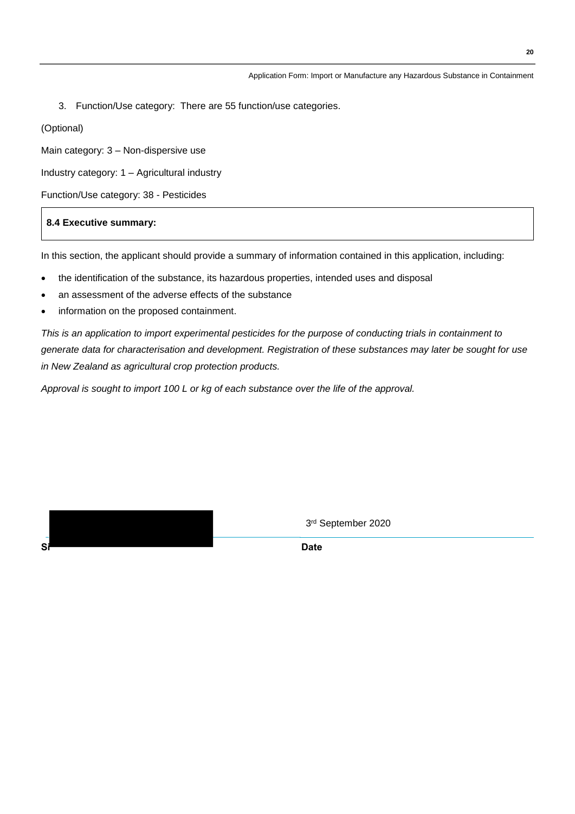3. Function/Use category: There are 55 function/use categories.

(Optional)

Main category: 3 – Non-dispersive use

Industry category: 1 – Agricultural industry

Function/Use category: 38 - Pesticides

#### **8.4 Executive summary:**

In this section, the applicant should provide a summary of information contained in this application, including:

- the identification of the substance, its hazardous properties, intended uses and disposal
- an assessment of the adverse effects of the substance
- information on the proposed containment.

*This is an application to import experimental pesticides for the purpose of conducting trials in containment to generate data for characterisation and development. Registration of these substances may later be sought for use in New Zealand as agricultural crop protection products.*

*Approval is sought to import 100 L or kg of each substance over the life of the approval.*

3 rd September 2020

**Si Date**